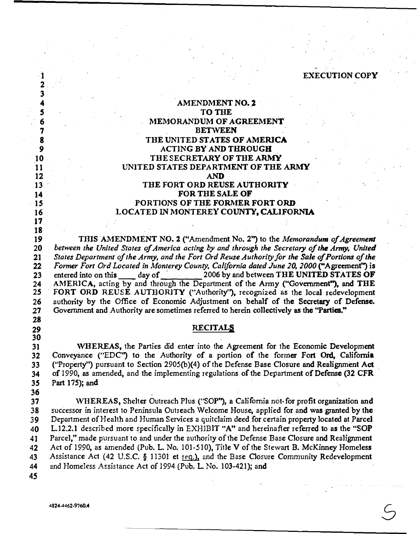|  |  | <b>EXECUTION COPY</b> |
|--|--|-----------------------|
|  |  |                       |
|  |  |                       |

### **AMENDMENT NO. 2**<br>5 **10 THE TO THE MEMORANDUM OF AGREEMENT BETWEEN THE UNITED STATES OF AMERICA 9 ACTING BY AND THROUGH ACTING** BY **AND THROUGH THE SECRETARY OF THE ARMY** 11 **UNITED STATES DEPARTMENT OF THE ARMY**<br>12 **AND 12 AND THE FORT ORD REUSE AUTHORITY 14 FOR THE SALE OF**<br>**15 PORTIONS OF THE FORMER PORTIONS OF THE FORMER FORT ORD LOCATED IN MONTEREY COUNTY, CALIFORNIA**

 THIS AMENDMENT NO. 2 ("Amendment No. 2") to the *Memorandum of Agreement between the United States of America acting by and through the Secretary of the Army, United States Department of the Army, and the Fort Ord Reuse Authority for the Sale of Portions of the Former Fort Ord Located in Monterey County, California dated June 20, 2000* **("Agreement") is**  23 entered into on this day of 2006 by and between THE UNITED STATES OF 24 AMERICA, acting by and through the Department of the Army ("Government"), and THE 24 AMERICA, acting by and through the Department of the Army ("Government"), and THE 25 FORT ORD REUSE AUTHORITY ("Authority"), recognized as the local redevelopment FORT ORD REUSE AUTHORITY ("Authority"), recognized as the local redevelopment 26 authority by the Office of Economic Adjustment on behalf of the Secretary of Defense.<br>27 Government and Authority are sometimes referred to herein collectively as the "Parties." **21 Government and Authority are sometimes referred to herein collectively as the "Parties."** 

### **RECITALS**

**,vHEREAS, the Parties did enter into the Agreement for the Economic Development Conveyance ("EDC") to the Authority of a portion of the** former **Fort Ord, California ("Property'') pursuant to Section** 2905(b)(4) **of the Defense Base Closure and Realignment Act ·.**  34 of 1990, as amended, and the implementing regulations of the Department of Defense (32 CFR 35 Part 175); and **Part** 175); **and** 

3<br>4

**"'HEREAS, Shelter Outreach Plus ("SOP"), a California not-for profit organization and 38 successor in interest to Peninsula Outreach \Velcome House, applied for and was granted by the**  *Department of Health and Human Services a quitclaim deed for certain property located at Parcel* 40 L.12.2.1 **described more specifically in EXHJBlT "A" and hereinafter referred to as the "SOP 41 Parcel," made pursuant to and under the authority of the Defense Base Closure and Realignment Act of** 1990, **as amended (Pub.** L. **No.** 101-510), **Title** V **of the Stewart** B. **McKinney Homeless Assistance Act** (42 **U.S.C.** § 11301 **et 5eq.), and the Base Closure Community Redevelopment and Homeless Assistance Act of** 1994 **(Pub.** L. **No.** 103-421); **and**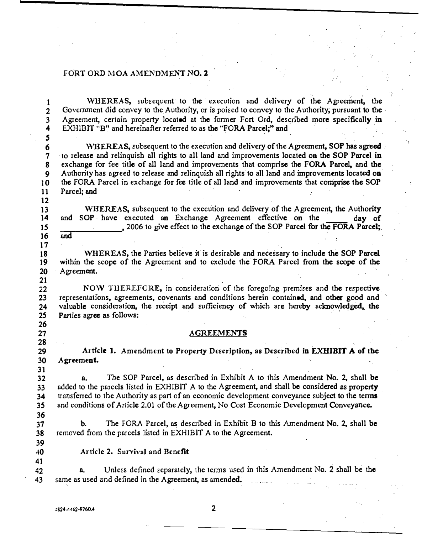**1 1 WHEREAS,** subsequent to the execution and delivery of the Agreement, the **2** Government did convey to the Authority, or is poised to convey to the Authority, pursuant to the Government did convey to the Authority, or is poised to convey to the Authority, pursuant to the **3** Agreement, certain property located at the former Fort Ord, described more specifically in EXHIBIT "B" and hereinafter referred to as the "FORA Parcel:" and **4 EXHIBIT "B" and hereinafter referred to as the "FORA Parcel;" and**  *5*  **6** WHEREAS, subsequent to the execution and delivery of the Agreement, SOP has agreed.<br>**7** to release and relinquish all rights to all land and improvements located on the SOP Parcel in **7 to release and relinquish all rights to all land and improvements located on the SOP Parcel in**  exchange for fee title of all land and improvements that comprise the FORA Parcel, and the **9 Authority has agreed to release and relinquish all rights to all land and improvements located on 10 the FORA Parcel in exchange for fee title of all land and improvements that comprise the SOP 11 Parcel; and 12 13** WHEREAS, subsequent to the execution and delivery of the Agreement, the Authority **14** and SOP have executed an Exchange Agreement effective on the day of and SOP have executed an Exchange Agreement effective on the day of 15 2006 to give effect to the exchange of the SOP Parcel for the FORA Parcel;<br>16 and **16 and 17**  18 **18** WHEREAS, the Parties believe it is desirable and necessary to include the SOP Parcel **19** within the scope of the Agreement and to exclude the FORA Parcel from the scope of the within the scope of the Agreement and to exclude the FORA Parcel from the scope of the **20 · Agreement. 21 22 22 NOW THEREFORE, in consideration of the foregoing premises and the respective 23 representations, agreements, covenants and conditions herein contained, and other good and 23 representations, agreements, covenants and conditions herein contained, and other good and**  24 valuable consideration, the receipt and sufficiency of which are hereby acknowledged, the **25** Parties agree as follows: **26**  27 AGREEMENTS **28**  29 Article 1. Amendment to Property Description, as Described in EXHIBIT A of the **30 Agreement. 31 32 a. The SOP Parcel, as described in Exhibit A to this Amendment No. 2, shall be 33 added to the parcels listed in EXHIBIT A to the Agreement, and shall be considered as property**  14 transferred to the Authority as part of an economic development conveyance subject to the terms<br>
35 and conditions of Article 2.01 of the Agreement, No Cost Economic Development Conveyance. **35 and conditions of Article 2.01 of the Agreement, No Cost Economic Development Conveyance. 36 37 b.** The FORA Parcel, as described in Exhibit B to this Amendment No. 2, shall be **38 removed from the parcels listed in EXHIBIT A to the Agreement. · 39 40 Article 2. SuniYal and Benefit 41 42 a. Unless defined separately, the tenns used in this Amendment No. 2 shall be the 43 same as used and defined in the Agreement, as amended.**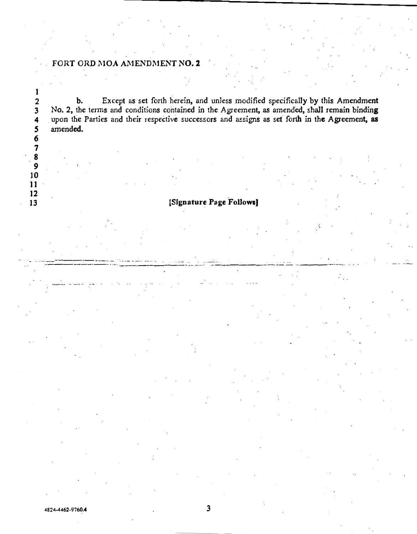---------·- �--·- - --·· ··-··· ..

.. ---·------·· · -····

1

2 b. Except as set forth herein, and unless modified specifically by this Amendment<br>3 No. 2, the terms and conditions contained in the Agreement, as amended, shall remain binding 3 No. 2, the terms and conditions contained in the Agreement, as amended, shall remain binding<br>4 upon the Parties and their respective successors and assigns as set forth in the Agreement, as 4 upon the Parties and their respective successors and assigns as set forth in the Agreement, as<br>5 amended. amended. **6.** 

## **13 13** *ISignature Page Follows*

.. ----···---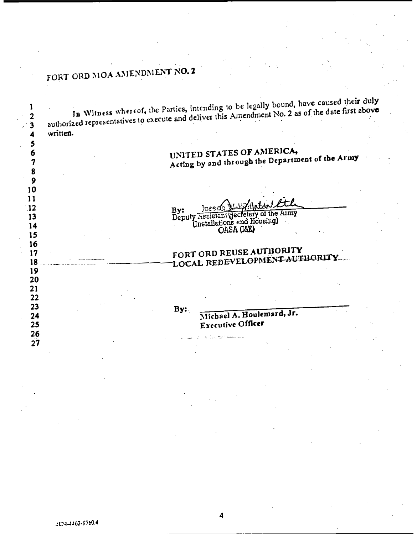In Witness whereof, the Parties, intending to be legally bound, have caused their duly  $\mathbf{1}$ authorized representatives to execute and deliver this Amendment No. 2 as of the date first above  $\overline{\mathbf{2}}$  $\overline{\mathbf{3}}$ written.  $\overline{\mathbf{4}}$ 5 UNITED STATES OF AMERICA, 6 Acting by and through the Department of the Army  $\overline{7}$ 8  $9$  $10$  $11$ Joseph Millistan &  $\overline{12}$ By: Deputy Assistant Jecletary of the Army  $13$ (Installations and Housing) 14 OASA (1&E) 15 16 FORT ORD REUSE AUTHORITY  $17$ LOCAL REDEVELOPMENT AUTHORITY 18 19 20 21 22  $23$ By: Michael A. Houlemard, Jr. 24 Executive Officer 25 26  $27$ 

4824-4462-9760.4

4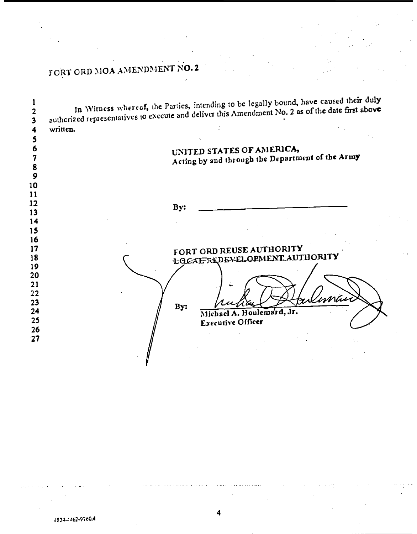| written. |     |                                                                               |  |     |  |  |
|----------|-----|-------------------------------------------------------------------------------|--|-----|--|--|
|          |     | UNITED STATES OF AMERICA,<br>Acting by and through the Department of the Army |  |     |  |  |
|          |     |                                                                               |  |     |  |  |
|          | By: |                                                                               |  |     |  |  |
|          |     |                                                                               |  |     |  |  |
|          |     |                                                                               |  |     |  |  |
|          |     |                                                                               |  |     |  |  |
|          |     | FORT ORD REUSE AUTHORITY                                                      |  |     |  |  |
|          |     | -LOCAL REDEVELOPMENT AUTHORITY                                                |  |     |  |  |
|          |     |                                                                               |  |     |  |  |
|          |     |                                                                               |  |     |  |  |
|          |     |                                                                               |  | mai |  |  |
|          | By: |                                                                               |  |     |  |  |
|          |     | Michael A. Houlemard, Jr.<br>Executive Officer                                |  |     |  |  |
|          |     |                                                                               |  |     |  |  |

4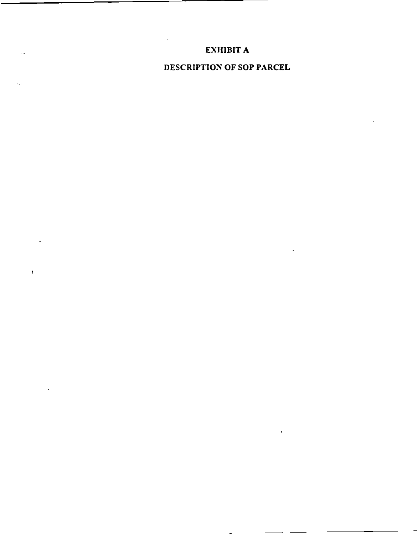## **EXHIBIT A**

 $\ddot{\phantom{a}}$ 

 $\mathbb{R}^2$ 

 $\epsilon$  .  $\epsilon$ 

 $\overline{1}$ 

**DESCRIPTION OF SOP PARCEL** 

 $\mathcal{A}$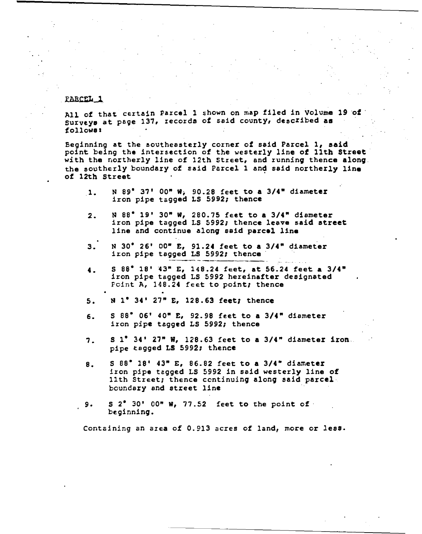### PABCEL 1

All of that certain Parcel 1 shown on map filed in Volume 19 of Surveys at page 137, records of said county, described as followa1

Beginning at the southeasterly corner of said Parcel 1, said point being the intereection of the westerly line of 11th **Street** with the northerly line of 12th Street, and runninq thence alonq. the eouthetly boundary of said Parcel 1 an� said northerly **line** of 12th Street

- .1. N 89' 37<sup>1</sup>00" W; 90.28 feet to a 3/4" diameter iron pipe tagged LS 5992; thence
- 2. N 88' 19' 30" w, 280.75 feet to a 3/4" diameter iron pipe tagged LS 5992; thence **leave said street** line and continue alonq **said parcel line**
- 3. N 30' 26' oo• E, 91.24 feet to a 3/4" diameter iron pipe tagged LS 5992; thence
- 4. **<sup>S</sup>**88' 18' 13" E, 148.24 feet, at 56.24 feet a 3/4" iron pipe tagged LS 5992 hereinafter designated Point A, 148.24 feet to point; thence
- 5. N 1° 34' 27" E, 128.63 feet; thence
- 6. s es• 06' 40" E, 92.98 feet to a 3/4" diameter iron pipe tagged LS 5992; thence
- 7.  $S_1^{\bullet}$  34' 27" W, 128.63 feet to a 3/4" diameter iron. pipe tagged LS 5992; thence
- 8. s es• 18' 43" E, 86.82 feet to a 3/4• diameter iron pipe tagged LS 5992 in said westerly line of 11th Street; thence continuing along said parcel boundary and street line
- 9. S 2• 30' 00" w, 77.52 feet to the point of· beginning.

Containing an area of 0.913 acres of land, more or less.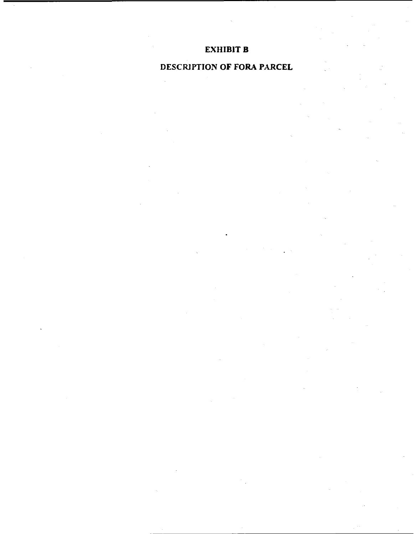## **EXHIBIT B**

## **DESCRJPTION OF FORA PARCEL**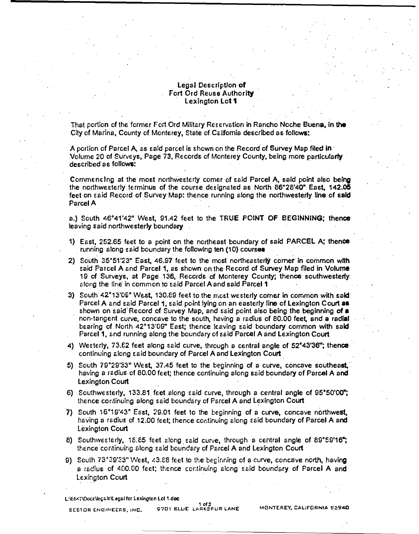### Legal Descriptlon **of** Fort Ord Reuse Authority · Lexington Lot **1**

That portion of the former Fort Ord Military Reservation in Rancho Neche Buena, in **the** City of Marina, County of Monterey, State of California described as follows:

A portion of Parcel A, as said parcel is shown on the Record of Survey Map filed in · Volume 20 of Surveys, Page 73, Records of Monterey County, being more particularly · described as follows: . ·

Commencing at the most northwesterly comer of said Parcel A, said point also being the northwesterly terminus of the course designated as North 86° 28'40" East, **142.05** feet on said Record of Survey Map: thence running along the northwesterly li<mark>ne</mark> of s**aid**<br>Parcel A

a.) South 46° 41'42" West, 91.42 feet to the TRUE POINT **OF** BEGINNING; thence leaving said northwesterly boundary

- 1) East, 252.65 feet to a point on the northeast boundary of said PARCEL A; thence running along said boundary the following ten (10) courses
- 2) South 35°51'23" East, 46.97 feet to the most northeasterly corner in common with said Parcel A and Parcel 1, 2s shown on the Record of Survey Map filed in Volume 19 of Surveys, at Page 136, Records of Monterey County; thence southwesterly. along the line in common to said Parcel A and said Parcel 1
- 3) South 42°13'09" West, 130.89 feet to the most westerly corner in common with said Parcel A and said Parcel 1, said point lying on an easterly line of Lexington Court as shown on said.Record of Survey Map, and said point also being the beginning of **a** non-tangent curve, concave to the south, having a radius of 80.00 feet, and a radial bearing of North 42°13'09" East; thence leaving said boundary common with said Parcel 1, and running along the boundary of said Parcel A and Lexington Court
- 4) Westerly, 73.62 feet along said curve, through a central angle of 52°43'36"; thence continuing along said boundary of Parcel A and Lexington Court
- 5) South 79"29'33 " West, 37.45 feet to the beginning of a curve, concave southeast,· having a radius of 80.00 feet; thence continuing along said boundary of Parcel A and Lexington Court
- 6) Southwesterly, 133.81 feet along said curve, through a central angle of  $95^{\circ}50'00"$ ; thence continuing along said boundary of Parcel A and Lexington Court
- 7) South 16° 19'43" Esst, 29.01 feet to the beginning of a curve, concave northwest, having a radius of 12.00 feet; thence continuing along said boundary of Parcel A and Lexington Court
- 8) Southwesterly, 18.85 feet along said curve, through a central angle of 89°59'16"; thence continuing along said boundary of Parcel A and Lexington Court  $\overline{\phantom{a}}$
- 9) South  $73^{\circ}39^{\circ}33^{\circ}$  West,  $43.88$  feet to the beginning of a curve, concave north, having a radius of  $400.00$  feet; thence continuing along said boundary of Parcel A and Lexington Court

L:\6647\Docs\legals\Legal for Lexington Lot 1.doc

1 of 2 **1 of 2 <sup>1</sup> of 2 <sup>1</sup> of 2 <sup>1</sup> of 2** *ARKSFUR LANE* **MONTEREY, CALIFORNIA 93940**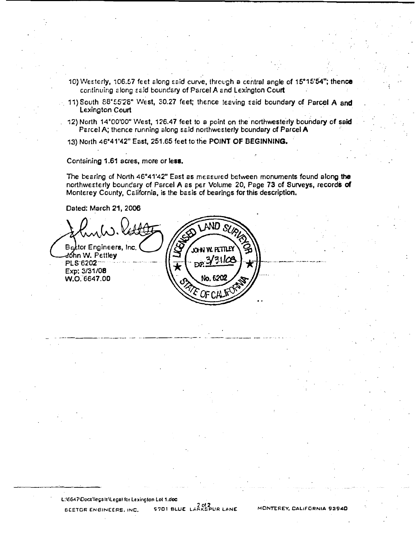- 10) Westerly, 106.57 feet along said curve, through a central angle of 15°15'54"; thence continuing along said boundary of Parcel A and Lexington Court
- 11) South 88°55'28" West, 30.27 feet; thence leeving seid boundary of Parcel A and Lexington Court
- 12) North 14°00'00" West, 126.47 feet to a point on the northwesterly boundary of said Parcel A; thence running along said northwesterly boundary of Parcel A
- 13) North 46°41'42" East, 251.65 feet to the POINT OF BEGINNING.

Containing 1.61 acres, more or less.

The bearing of North 46°41'42" East as measured between monuments found along the northwesterly boundary of Parcel A as per Volume 20, Page 73 of Surveys, records of Monterey County, California, is the basis of bearings for this description.

Dated: March 21, 2006

ND. Bestor Engineers, Inc dóhn W. Pettle**y** 311CE PLS-6202<sup>--</sup> гÝР Exp: 3/31/08 No. 62 W.O. 6647.00

L:\6647\Docs\legals\Legal for Lexington Lot 1.doc **S701 BLUE** LARKSPUR LANE **BEETOR ENGINEERS, INC.** 

MONTEREY, CALIFORNIA 93940